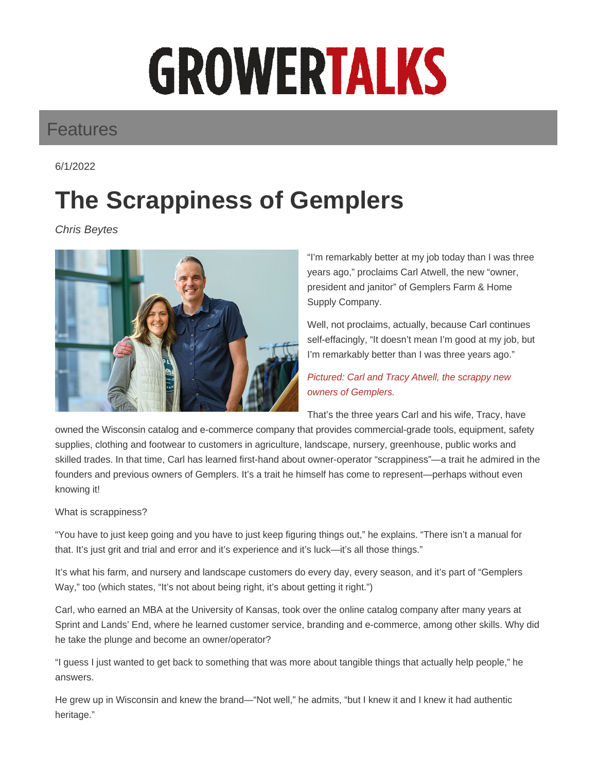# GROWERTALKS

### Features

6/1/2022

## **The Scrappiness of Gemplers**

Chris Beytes



"I'm remarkably better at my job today than I was three years ago," proclaims Carl Atwell, the new "owner, president and janitor" of Gemplers Farm & Home Supply Company.

Well, not proclaims, actually, because Carl continues self-effacingly, "It doesn't mean I'm good at my job, but I'm remarkably better than I was three years ago."

#### Pictured: Carl and Tracy Atwell, the scrappy new owners of Gemplers.

That's the three years Carl and his wife, Tracy, have

owned the Wisconsin catalog and e-commerce company that provides commercial-grade tools, equipment, safety supplies, clothing and footwear to customers in agriculture, landscape, nursery, greenhouse, public works and skilled trades. In that time, Carl has learned first-hand about owner-operator "scrappiness"—a trait he admired in the founders and previous owners of Gemplers. It's a trait he himself has come to represent—perhaps without even knowing it!

#### What is scrappiness?

"You have to just keep going and you have to just keep figuring things out," he explains. "There isn't a manual for that. It's just grit and trial and error and it's experience and it's luck—it's all those things."

It's what his farm, and nursery and landscape customers do every day, every season, and it's part of "Gemplers Way," too (which states, "It's not about being right, it's about getting it right.")

Carl, who earned an MBA at the University of Kansas, took over the online catalog company after many years at Sprint and Lands' End, where he learned customer service, branding and e-commerce, among other skills. Why did he take the plunge and become an owner/operator?

"I guess I just wanted to get back to something that was more about tangible things that actually help people," he answers.

He grew up in Wisconsin and knew the brand—"Not well," he admits, "but I knew it and I knew it had authentic heritage."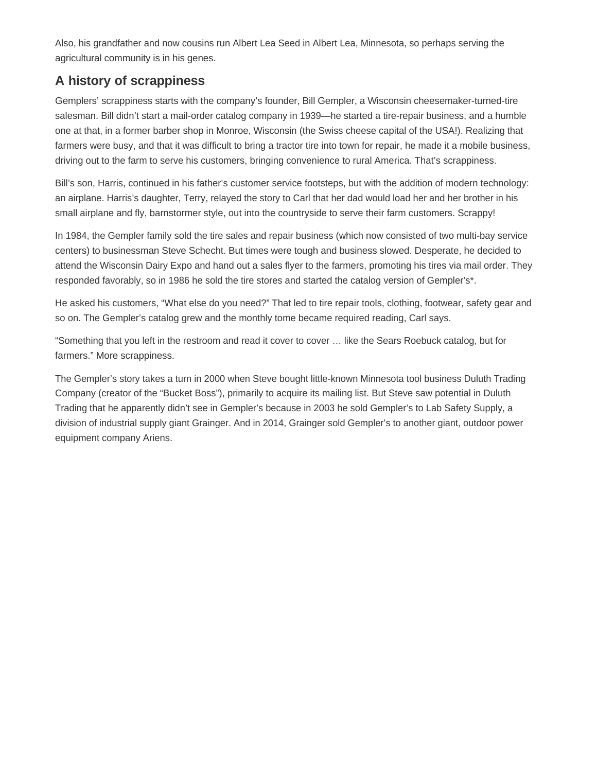Also, his grandfather and now cousins run Albert Lea Seed in Albert Lea, Minnesota, so perhaps serving the agricultural community is in his genes.

#### **A history of scrappiness**

Gemplers' scrappiness starts with the company's founder, Bill Gempler, a Wisconsin cheesemaker-turned-tire salesman. Bill didn't start a mail-order catalog company in 1939—he started a tire-repair business, and a humble one at that, in a former barber shop in Monroe, Wisconsin (the Swiss cheese capital of the USA!). Realizing that farmers were busy, and that it was difficult to bring a tractor tire into town for repair, he made it a mobile business, driving out to the farm to serve his customers, bringing convenience to rural America. That's scrappiness.

Bill's son, Harris, continued in his father's customer service footsteps, but with the addition of modern technology: an airplane. Harris's daughter, Terry, relayed the story to Carl that her dad would load her and her brother in his small airplane and fly, barnstormer style, out into the countryside to serve their farm customers. Scrappy!

In 1984, the Gempler family sold the tire sales and repair business (which now consisted of two multi-bay service centers) to businessman Steve Schecht. But times were tough and business slowed. Desperate, he decided to attend the Wisconsin Dairy Expo and hand out a sales flyer to the farmers, promoting his tires via mail order. They responded favorably, so in 1986 he sold the tire stores and started the catalog version of Gempler's\*.

He asked his customers, "What else do you need?" That led to tire repair tools, clothing, footwear, safety gear and so on. The Gempler's catalog grew and the monthly tome became required reading, Carl says.

"Something that you left in the restroom and read it cover to cover … like the Sears Roebuck catalog, but for farmers." More scrappiness.

The Gempler's story takes a turn in 2000 when Steve bought little-known Minnesota tool business Duluth Trading Company (creator of the "Bucket Boss"), primarily to acquire its mailing list. But Steve saw potential in Duluth Trading that he apparently didn't see in Gempler's because in 2003 he sold Gempler's to Lab Safety Supply, a division of industrial supply giant Grainger. And in 2014, Grainger sold Gempler's to another giant, outdoor power equipment company Ariens.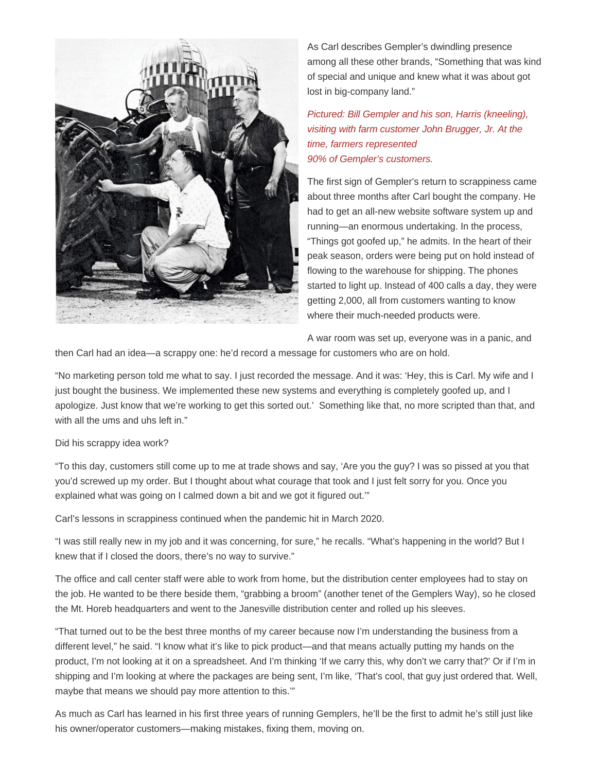

As Carl describes Gempler's dwindling presence among all these other brands, "Something that was kind of special and unique and knew what it was about got lost in big-company land."

Pictured: Bill Gempler and his son, Harris (kneeling), visiting with farm customer John Brugger, Jr. At the time, farmers represented 90% of Gempler's customers.

The first sign of Gempler's return to scrappiness came about three months after Carl bought the company. He had to get an all-new website software system up and running—an enormous undertaking. In the process, "Things got goofed up," he admits. In the heart of their peak season, orders were being put on hold instead of flowing to the warehouse for shipping. The phones started to light up. Instead of 400 calls a day, they were getting 2,000, all from customers wanting to know where their much-needed products were.

A war room was set up, everyone was in a panic, and

then Carl had an idea—a scrappy one: he'd record a message for customers who are on hold.

"No marketing person told me what to say. I just recorded the message. And it was: 'Hey, this is Carl. My wife and I just bought the business. We implemented these new systems and everything is completely goofed up, and I apologize. Just know that we're working to get this sorted out.' Something like that, no more scripted than that, and with all the ums and uhs left in."

#### Did his scrappy idea work?

"To this day, customers still come up to me at trade shows and say, 'Are you the guy? I was so pissed at you that you'd screwed up my order. But I thought about what courage that took and I just felt sorry for you. Once you explained what was going on I calmed down a bit and we got it figured out.'"

Carl's lessons in scrappiness continued when the pandemic hit in March 2020.

"I was still really new in my job and it was concerning, for sure," he recalls. "What's happening in the world? But I knew that if I closed the doors, there's no way to survive."

The office and call center staff were able to work from home, but the distribution center employees had to stay on the job. He wanted to be there beside them, "grabbing a broom" (another tenet of the Gemplers Way), so he closed the Mt. Horeb headquarters and went to the Janesville distribution center and rolled up his sleeves.

"That turned out to be the best three months of my career because now I'm understanding the business from a different level," he said. "I know what it's like to pick product—and that means actually putting my hands on the product, I'm not looking at it on a spreadsheet. And I'm thinking 'If we carry this, why don't we carry that?' Or if I'm in shipping and I'm looking at where the packages are being sent, I'm like, 'That's cool, that guy just ordered that. Well, maybe that means we should pay more attention to this.'"

As much as Carl has learned in his first three years of running Gemplers, he'll be the first to admit he's still just like his owner/operator customers—making mistakes, fixing them, moving on.